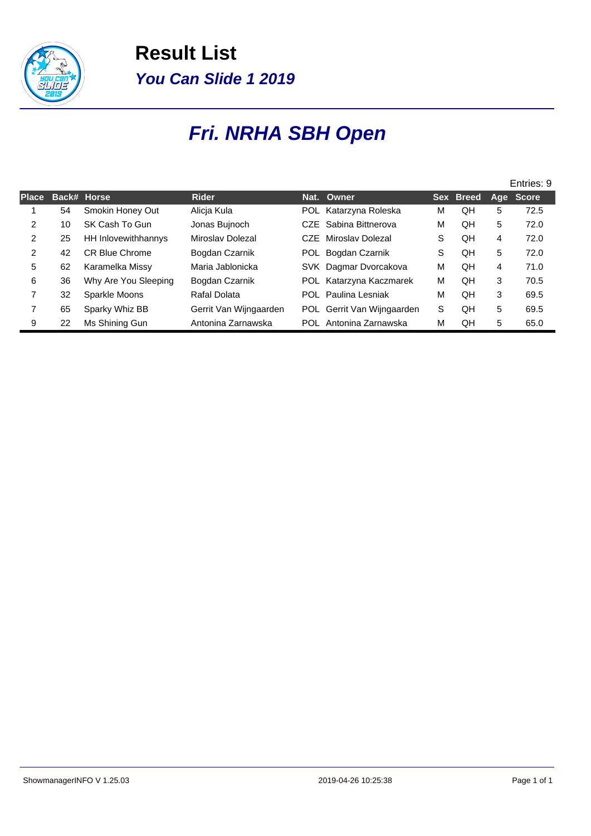

**Result List You Can Slide 1 2019**

## **Fri. NRHA SBH Open**

|                |    |                       |                        |                            |   |           |     | Entries: 9   |
|----------------|----|-----------------------|------------------------|----------------------------|---|-----------|-----|--------------|
| <b>Place</b>   |    | Back# Horse           | <b>Rider</b>           | Nat. Owner                 |   | Sex Breed | Age | <b>Score</b> |
|                | 54 | Smokin Honey Out      | Alicia Kula            | POL Katarzyna Roleska      | М | QH        | 5   | 72.5         |
| 2              | 10 | SK Cash To Gun        | Jonas Bujnoch          | CZE Sabina Bittnerova      | м | QH        | 5   | 72.0         |
| 2              | 25 | HH Inlovewithhannys   | Miroslav Dolezal       | CZE Miroslav Dolezal       | S | QH        | 4   | 72.0         |
| 2              | 42 | <b>CR Blue Chrome</b> | Bogdan Czarnik         | POL Bogdan Czarnik         | S | QH        | 5   | 72.0         |
| 5              | 62 | Karamelka Missy       | Maria Jablonicka       | SVK Dagmar Dvorcakova      | М | QH        | 4   | 71.0         |
| 6              | 36 | Why Are You Sleeping  | Bogdan Czarnik         | POL Katarzyna Kaczmarek    | м | OН        | 3   | 70.5         |
| $\overline{7}$ | 32 | Sparkle Moons         | Rafal Dolata           | <b>POL</b> Paulina Lesniak | М | OН        | 3   | 69.5         |
| 7              | 65 | Sparky Whiz BB        | Gerrit Van Wijngaarden | POL Gerrit Van Wijngaarden | S | QH        | 5   | 69.5         |
| 9              | 22 | Ms Shining Gun        | Antonina Zarnawska     | POL Antonina Zarnawska     | М | OН        | 5   | 65.0         |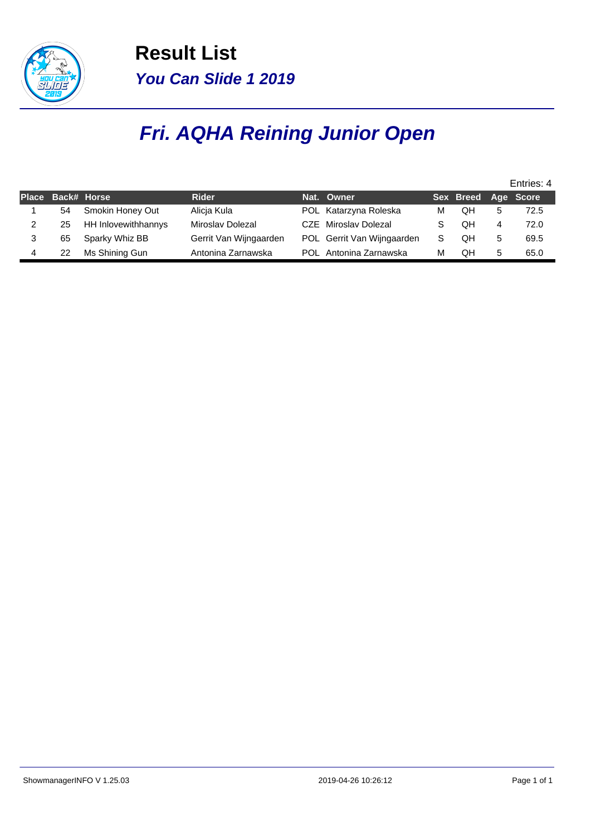

**Result List You Can Slide 1 2019**

## **Fri. AQHA Reining Junior Open**

|                   |                     |                        |                            |   |                     |   | Entries: 4 |
|-------------------|---------------------|------------------------|----------------------------|---|---------------------|---|------------|
| Place Back# Horse |                     | <b>Rider</b>           | Nat. Owner                 |   | Sex Breed Age Score |   |            |
| 54                | Smokin Honey Out    | Alicia Kula            | POL Katarzyna Roleska      | м | QΗ                  |   | 72.5       |
| 25                | HH Inlovewithhannys | Miroslav Dolezal       | CZE Miroslav Dolezal       |   | OΗ                  |   | 72.0       |
| 65                | Sparky Whiz BB      | Gerrit Van Wijngaarden | POL Gerrit Van Wijngaarden | S | QH                  | 5 | 69.5       |
| 22                | Ms Shining Gun      | Antonina Zarnawska     | POL Antonina Zarnawska     | м | QΗ                  | 5 | 65.0       |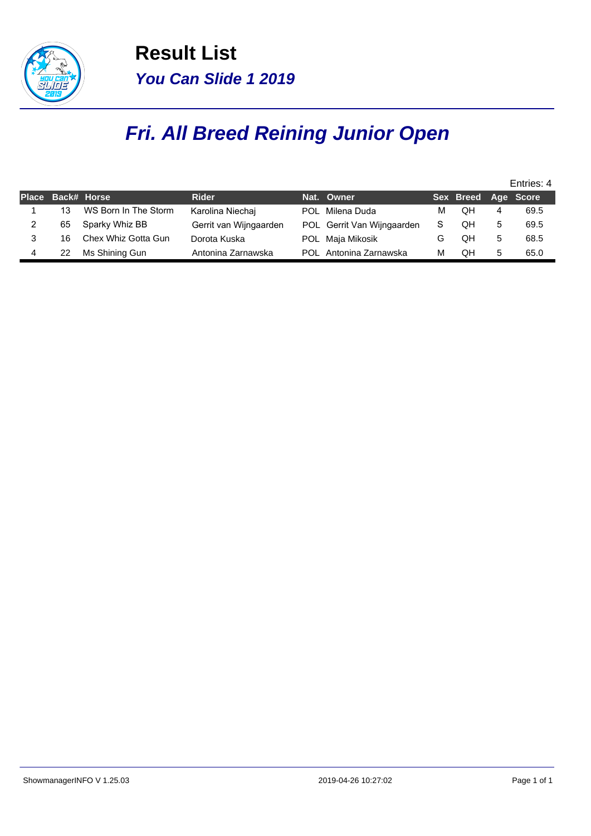

**Result List You Can Slide 1 2019**

## **Fri. All Breed Reining Junior Open**

|                   |                      |                        |                            |   |                     |   | Entries: 4 |
|-------------------|----------------------|------------------------|----------------------------|---|---------------------|---|------------|
| Place Back# Horse |                      | <b>Rider</b>           | Nat. Owner                 |   | Sex Breed Age Score |   |            |
| 13                | WS Born In The Storm | Karolina Niechaj       | POL Milena Duda            | м | QΗ                  | 4 | 69.5       |
| 65                | Sparky Whiz BB       | Gerrit van Wijngaarden | POL Gerrit Van Wijngaarden | S | QH                  | 5 | 69.5       |
| 16                | Chex Whiz Gotta Gun  | Dorota Kuska           | POL Maja Mikosik           | G | QH                  | 5 | 68.5       |
| 22                | Ms Shining Gun       | Antonina Zarnawska     | POL Antonina Zarnawska     | М | OΗ                  | 5 | 65.0       |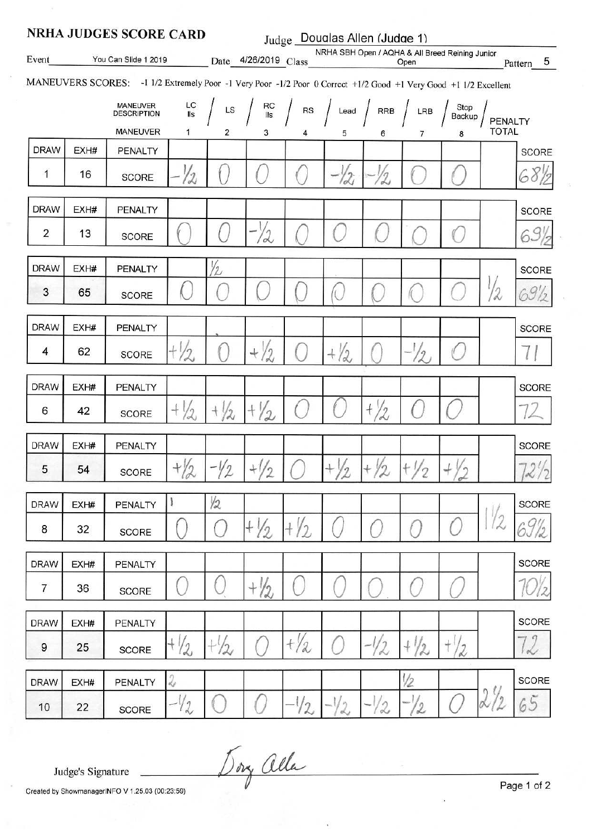| <b>NRHA JUDGES SCORE CARD</b><br>Judge Doualas Allen (Judge 1)                                                   |      |                                       |                                                                                                  |                |                      |                 |                                                 |                 |                  |                |                         |                           |
|------------------------------------------------------------------------------------------------------------------|------|---------------------------------------|--------------------------------------------------------------------------------------------------|----------------|----------------------|-----------------|-------------------------------------------------|-----------------|------------------|----------------|-------------------------|---------------------------|
| Event                                                                                                            |      | You Can Slide 1 2019                  |                                                                                                  |                | Date 4/26/2019 Class |                 | NRHA SBH Open / AQHA & All Breed Reining Junior |                 | Open             |                |                         | $\overline{5}$<br>Pattern |
| MANEUVERS SCORES: -1 1/2 Extremely Poor -1 Very Poor -1/2 Poor 0 Correct +1/2 Good +1 Very Good +1 1/2 Excellent |      |                                       |                                                                                                  |                |                      |                 |                                                 |                 |                  |                |                         |                           |
|                                                                                                                  |      | <b>MANEUVER</b><br><b>DESCRIPTION</b> | LC<br>IIs                                                                                        | LS             | RC<br>Ils            |                 | $RS \int$ Lead $\int$                           | RRB             | LRB              | Stop<br>Backup |                         |                           |
|                                                                                                                  |      | <b>MANEUVER</b>                       | 1                                                                                                | 2              | 3                    | 4               | 5                                               | 6               | 7                | 8              | PENALTY<br><b>TOTAL</b> |                           |
| <b>DRAW</b>                                                                                                      | EXH# | PENALTY                               |                                                                                                  |                |                      |                 |                                                 |                 |                  |                |                         | <b>SCORE</b>              |
| 1                                                                                                                | 16   | <b>SCORE</b>                          | 12                                                                                               |                |                      |                 | 12                                              | 12              |                  |                |                         |                           |
| <b>DRAW</b>                                                                                                      | EXH# | PENALTY                               |                                                                                                  |                |                      |                 |                                                 |                 |                  |                |                         | <b>SCORE</b>              |
| $\overline{2}$                                                                                                   | 13   | <b>SCORE</b>                          |                                                                                                  |                | 12                   |                 |                                                 |                 |                  |                |                         |                           |
| <b>DRAW</b>                                                                                                      | EXH# | <b>PENALTY</b>                        |                                                                                                  | $\frac{1}{2}$  |                      |                 |                                                 |                 |                  |                |                         | <b>SCORE</b>              |
| 3                                                                                                                | 65   | <b>SCORE</b>                          |                                                                                                  |                |                      |                 |                                                 |                 |                  |                | $\frac{1}{2}$           | 69                        |
| <b>DRAW</b>                                                                                                      | EXH# | PENALTY                               |                                                                                                  |                |                      |                 |                                                 |                 |                  |                |                         | <b>SCORE</b>              |
| 4                                                                                                                | 62   | <b>SCORE</b>                          | $+\frac{1}{2}$                                                                                   |                | $^{+}$<br>/2         |                 | $+ \frac{1}{2}$                                 |                 | $\eta$           |                |                         |                           |
| <b>DRAW</b>                                                                                                      | EXH# | PENALTY                               |                                                                                                  |                |                      |                 |                                                 |                 |                  |                |                         | <b>SCORE</b>              |
| 6                                                                                                                | 42   | <b>SCORE</b>                          | $^{+}$<br>$\sigma$                                                                               | $+\frac{1}{2}$ | $+ \frac{1}{2}$      |                 |                                                 | $+ / 2$         |                  |                |                         |                           |
| <b>DRAW</b>                                                                                                      | EXH# | <b>PENALTY</b>                        |                                                                                                  |                |                      |                 |                                                 |                 |                  |                |                         | <b>SCORE</b>              |
| 5                                                                                                                | 54   | <b>SCORE</b>                          |                                                                                                  | $+  2  -  2 $  | $+\frac{1}{2}$       |                 | $+\frac{1}{2}$                                  | $+ \frac{1}{2}$ | $\pm\frac{1}{2}$ | $+\frac{1}{2}$ |                         | 72/2                      |
| <b>DRAW</b>                                                                                                      | EXH# | <b>PENALTY</b>                        | 1                                                                                                | $\frac{1}{2}$  |                      |                 |                                                 |                 |                  |                |                         | SCORE                     |
| 8                                                                                                                | 32   | SCORE                                 |                                                                                                  |                | $+ \frac{1}{2}$      | $+ \frac{1}{2}$ |                                                 |                 |                  |                | 2                       | 65                        |
| <b>DRAW</b>                                                                                                      | EXH# | PENALTY                               |                                                                                                  |                |                      |                 |                                                 |                 |                  |                |                         | SCORE                     |
| 7                                                                                                                | 36   | <b>SCORE</b>                          |                                                                                                  |                | $+ \frac{1}{2}$      |                 |                                                 |                 |                  |                |                         |                           |
| <b>DRAW</b>                                                                                                      | EXH# | PENALTY                               |                                                                                                  |                |                      |                 |                                                 |                 |                  |                |                         | SCORE                     |
| 9                                                                                                                | 25   | SCORE                                 | $+1/2$                                                                                           | $+\frac{1}{2}$ |                      | t/a             |                                                 |                 | $+1/2$           | $t\frac{1}{2}$ |                         | $\sim$                    |
| <b>DRAW</b>                                                                                                      | EXH# | PENALTY                               | $\mathcal{L}% _{G}(\theta)=\left( \mathcal{L}_{G}(\theta)\right) ^{\ast}\mathcal{L}_{G}(\theta)$ |                |                      |                 |                                                 |                 | $\frac{1}{2}$    |                |                         | SCORE                     |
| 10                                                                                                               | 22   | SCORE                                 | $-1/2$                                                                                           |                |                      | $-1/2$          | $-1/2$                                          | $-1/2$          | $\overline{2}$   |                | 2/2                     | 65                        |

Dory alla

Judge's Signature

Created by ShowmanagerINFO V 1.25.03 (00:23:59)

Page 1 of 2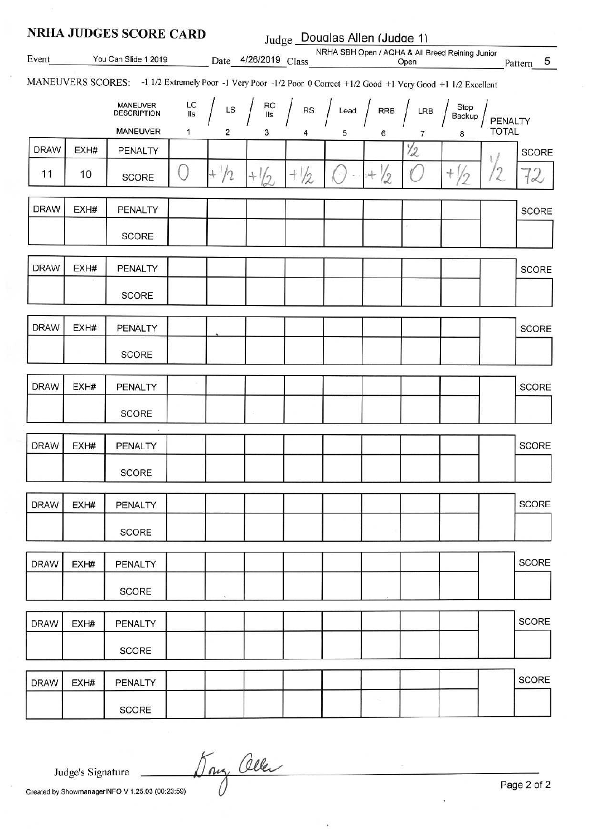| <b>NRHA JUDGES SCORE CARD</b> |      |                                                                                                                  |           |                | Judge Doualas Allen (Judge 1) |        |                        |                 |                |                                                 |              |              |
|-------------------------------|------|------------------------------------------------------------------------------------------------------------------|-----------|----------------|-------------------------------|--------|------------------------|-----------------|----------------|-------------------------------------------------|--------------|--------------|
| Event                         |      | You Can Slide 1 2019 Date 4/26/2019 Class                                                                        |           |                |                               |        | <b>CONTRACTOR</b>      |                 | Open           | NRHA SBH Open / AQHA & All Breed Reining Junior |              | Pattern 5    |
|                               |      | MANEUVERS SCORES: -1 1/2 Extremely Poor -1 Very Poor -1/2 Poor 0 Correct +1/2 Good +1 Very Good +1 1/2 Excellent |           |                |                               |        |                        |                 |                |                                                 |              |              |
|                               |      | <b>MANEUVER</b><br><b>DESCRIPTION</b>                                                                            | LC<br>IIs | ${\sf LS}$     | RC<br>IIs                     | RS     | Lead $\int$            |                 | RRB $/$ LRB    | Stop<br>Backup                                  | PENALTY      |              |
|                               |      | <b>MANEUVER</b>                                                                                                  | 1         | $\overline{c}$ | 3                             | 4      | 5                      | 6               | $\overline{7}$ | 8                                               | <b>TOTAL</b> |              |
| <b>DRAW</b>                   | EXH# | PENALTY                                                                                                          |           |                |                               |        |                        |                 | $\frac{1}{2}$  |                                                 |              | <b>SCORE</b> |
| 11                            | 10   | SCORE                                                                                                            | ί,        | $+1/2$         | $+\frac{1}{2}$                | $+1/2$ | $\left( \cdot \right)$ | $+ \frac{1}{2}$ |                | $^{+}$                                          |              | $\propto$    |
| <b>DRAW</b>                   | EXH# | PENALTY                                                                                                          |           |                |                               |        |                        |                 |                |                                                 |              | <b>SCORE</b> |
|                               |      | <b>SCORE</b>                                                                                                     |           |                |                               |        |                        |                 |                |                                                 |              |              |
| <b>DRAW</b>                   | EXH# | PENALTY                                                                                                          |           |                |                               |        |                        |                 |                |                                                 |              | <b>SCORE</b> |
|                               |      | <b>SCORE</b>                                                                                                     |           |                |                               |        |                        |                 |                |                                                 |              |              |
| <b>DRAW</b>                   | EXH# | PENALTY                                                                                                          |           |                |                               |        |                        |                 |                |                                                 |              | <b>SCORE</b> |
|                               |      | <b>SCORE</b>                                                                                                     |           |                |                               |        |                        |                 |                |                                                 |              |              |
| <b>DRAW</b>                   | EXH# | PENALTY                                                                                                          |           |                |                               |        |                        |                 |                |                                                 |              | <b>SCORE</b> |
|                               |      | <b>SCORE</b>                                                                                                     |           |                |                               |        |                        |                 |                |                                                 |              |              |
| <b>DRAW</b>                   | EXH# | PENALTY                                                                                                          |           |                |                               |        |                        |                 |                |                                                 |              | SCORE        |
|                               |      | <b>SCORE</b>                                                                                                     |           |                |                               |        |                        |                 |                |                                                 |              |              |
| <b>DRAW</b>                   | EXH# | PENALTY                                                                                                          |           |                |                               |        |                        |                 |                |                                                 |              | <b>SCORE</b> |
|                               |      | <b>SCORE</b>                                                                                                     |           |                |                               |        |                        |                 |                |                                                 |              |              |
| <b>DRAW</b>                   | EXH# | PENALTY                                                                                                          |           |                |                               |        |                        |                 |                |                                                 |              | SCORE        |
|                               |      | SCORE                                                                                                            |           | ×              |                               |        |                        |                 |                |                                                 |              |              |
| <b>DRAW</b>                   | EXH# | PENALTY                                                                                                          |           |                |                               |        |                        |                 |                |                                                 |              | <b>SCORE</b> |
|                               |      | SCORE                                                                                                            |           |                |                               |        |                        |                 |                |                                                 |              |              |
| <b>DRAW</b>                   | EXH# | PENALTY                                                                                                          |           |                |                               |        |                        |                 |                |                                                 |              | <b>SCORE</b> |
|                               |      | <b>SCORE</b>                                                                                                     |           |                |                               |        |                        |                 |                |                                                 |              |              |

Day Oller

Judge's Signature

Created by ShowmanagerINFO V 1.25.03 (00:23:59)

Page 2 of 2